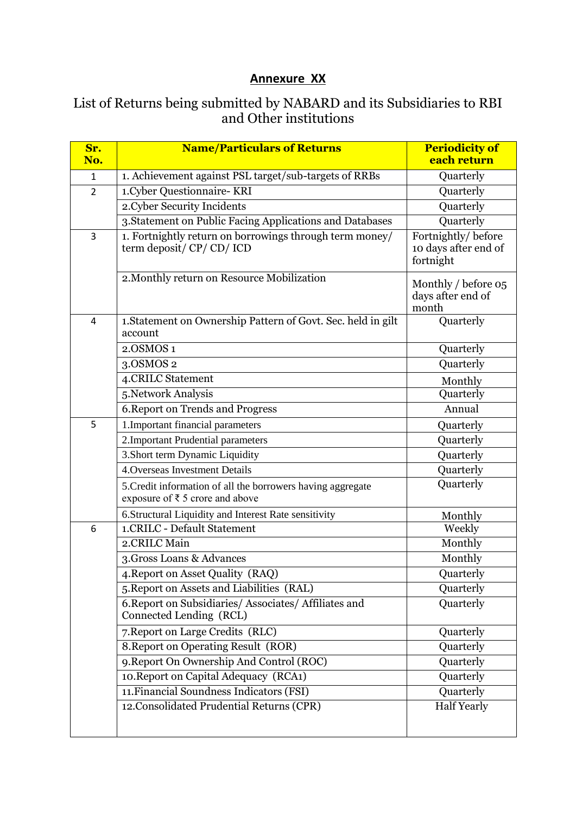## **Annexure XX**

## List of Returns being submitted by NABARD and its Subsidiaries to RBI and Other institutions

| Sr.<br>No.     | <b>Name/Particulars of Returns</b>                                             | <b>Periodicity of</b><br>each return |
|----------------|--------------------------------------------------------------------------------|--------------------------------------|
|                |                                                                                |                                      |
| $\mathbf{1}$   | 1. Achievement against PSL target/sub-targets of RRBs                          | Quarterly                            |
| $\overline{2}$ | 1.Cyber Questionnaire- KRI                                                     | Quarterly                            |
|                | 2.Cyber Security Incidents                                                     | Quarterly                            |
|                | 3.Statement on Public Facing Applications and Databases                        | Quarterly                            |
| 3              | 1. Fortnightly return on borrowings through term money/                        | Fortnightly/before                   |
|                | term deposit/ CP/ CD/ ICD                                                      | 10 days after end of<br>fortnight    |
|                |                                                                                |                                      |
|                | 2. Monthly return on Resource Mobilization                                     | Monthly / before 05                  |
|                |                                                                                | days after end of                    |
|                |                                                                                | month                                |
| 4              | 1. Statement on Ownership Pattern of Govt. Sec. held in gilt<br>account        | Quarterly                            |
|                | 2.OSMOS 1                                                                      | Quarterly                            |
|                | 3.0SMOS 2                                                                      | Quarterly                            |
|                | 4.CRILC Statement                                                              | Monthly                              |
|                | 5.Network Analysis                                                             | Quarterly                            |
|                | 6. Report on Trends and Progress                                               | Annual                               |
| 5              | 1. Important financial parameters                                              | Quarterly                            |
|                | 2. Important Prudential parameters                                             | Quarterly                            |
|                | 3. Short term Dynamic Liquidity                                                | Quarterly                            |
|                | 4. Overseas Investment Details                                                 | Quarterly                            |
|                | 5. Credit information of all the borrowers having aggregate                    | Quarterly                            |
|                | exposure of $\bar{\tau}$ 5 crore and above                                     |                                      |
|                | 6. Structural Liquidity and Interest Rate sensitivity                          | Monthly                              |
| 6              | 1.CRILC - Default Statement                                                    | Weekly                               |
|                | 2.CRILC Main                                                                   | Monthly                              |
|                | 3. Gross Loans & Advances                                                      | Monthly                              |
|                | 4. Report on Asset Quality (RAQ)                                               | Quarterly                            |
|                | 5. Report on Assets and Liabilities (RAL)                                      | Quarterly                            |
|                | 6. Report on Subsidiaries/Associates/Affiliates and<br>Connected Lending (RCL) | Quarterly                            |
|                | 7. Report on Large Credits (RLC)                                               | Quarterly                            |
|                | 8. Report on Operating Result (ROR)                                            | Quarterly                            |
|                | 9. Report On Ownership And Control (ROC)                                       | Quarterly                            |
|                | 10. Report on Capital Adequacy (RCA1)                                          | Quarterly                            |
|                | 11. Financial Soundness Indicators (FSI)                                       | Quarterly                            |
|                | 12. Consolidated Prudential Returns (CPR)                                      | <b>Half Yearly</b>                   |
|                |                                                                                |                                      |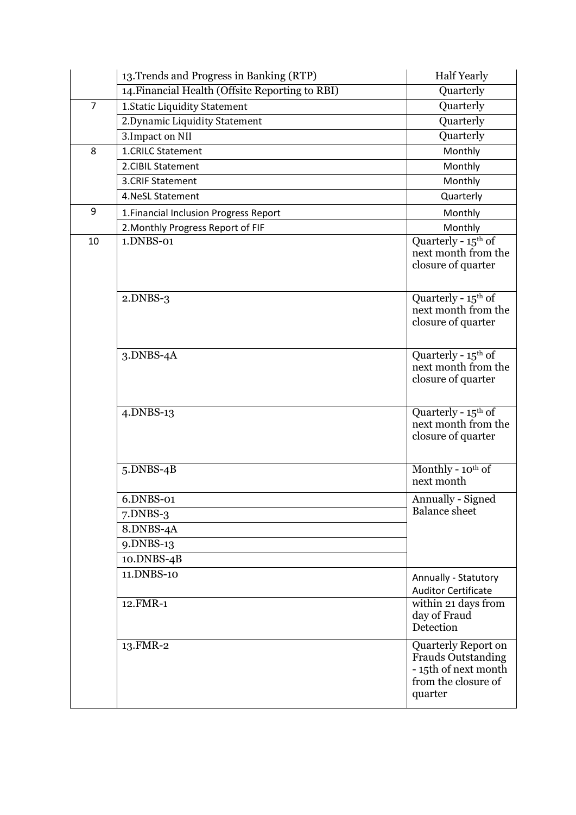|                | 13. Trends and Progress in Banking (RTP)        | <b>Half Yearly</b>                                                                                         |
|----------------|-------------------------------------------------|------------------------------------------------------------------------------------------------------------|
|                | 14. Financial Health (Offsite Reporting to RBI) | Quarterly                                                                                                  |
| $\overline{7}$ | 1. Static Liquidity Statement                   | Quarterly                                                                                                  |
|                | 2. Dynamic Liquidity Statement                  | Quarterly                                                                                                  |
|                | 3. Impact on NII                                | Quarterly                                                                                                  |
| 8              | 1.CRILC Statement                               | Monthly                                                                                                    |
|                | 2.CIBIL Statement                               | Monthly                                                                                                    |
|                | 3.CRIF Statement                                | Monthly                                                                                                    |
|                | 4. NeSL Statement                               | Quarterly                                                                                                  |
| 9              | 1. Financial Inclusion Progress Report          | Monthly                                                                                                    |
|                | 2. Monthly Progress Report of FIF               | Monthly                                                                                                    |
| 10             | 1.DNBS-01                                       | Quarterly - $15^{\text{th}}$ of<br>next month from the<br>closure of quarter                               |
|                | $2.DNBS-3$                                      | Quarterly - 15 <sup>th</sup> of<br>next month from the<br>closure of quarter                               |
|                | $3.DNBS-4A$                                     | Quarterly - $15^{\text{th}}$ of<br>next month from the<br>closure of quarter                               |
|                | $4.$ DNBS-13                                    | Quarterly - $15th$ of<br>next month from the<br>closure of quarter                                         |
|                | $5.DNBS-4B$                                     | Monthly - 10th of<br>next month                                                                            |
|                | 6.DNBS-01                                       | Annually - Signed                                                                                          |
|                | $7.$ DNBS-3                                     | <b>Balance</b> sheet                                                                                       |
|                | 8.DNBS-4A                                       |                                                                                                            |
|                | 9.DNBS-13                                       |                                                                                                            |
|                | 10.DNBS-4B                                      |                                                                                                            |
|                | 11.DNBS-10                                      | Annually - Statutory<br><b>Auditor Certificate</b>                                                         |
|                | 12.FMR-1                                        | within 21 days from<br>day of Fraud<br>Detection                                                           |
|                | 13.FMR-2                                        | Quarterly Report on<br><b>Frauds Outstanding</b><br>- 15th of next month<br>from the closure of<br>quarter |